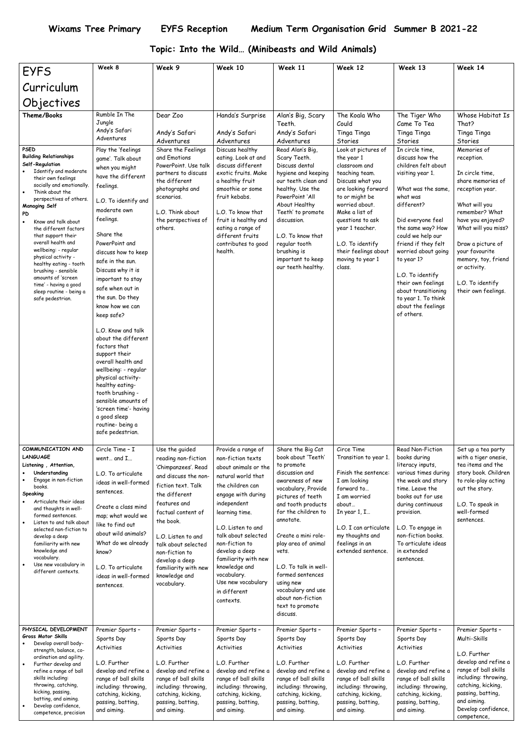## **Topic: Into the Wild… (Minibeasts and Wild Animals)**

| <b>EYFS</b>                                                                                                                                                                                                                                                                                                                                                                                                                                                                                                                      | Week 8                                                                                                                                                                                                                                                                                                                                                                                                                                                                                                                                                                                                                                                                                   | Week 9                                                                                                                                                                                                                                                                                                                  | Week 10                                                                                                                                                                                                                                                                                                                                                      | Week 11                                                                                                                                                                                                                                                                                                                                                                                      | Week 12                                                                                                                                                                                                                                                                                                                   | Week 13                                                                                                                                                                                                                                                                                                                                                                                                                                        | Week 14                                                                                                                                                                                                                                                                                                                         |
|----------------------------------------------------------------------------------------------------------------------------------------------------------------------------------------------------------------------------------------------------------------------------------------------------------------------------------------------------------------------------------------------------------------------------------------------------------------------------------------------------------------------------------|------------------------------------------------------------------------------------------------------------------------------------------------------------------------------------------------------------------------------------------------------------------------------------------------------------------------------------------------------------------------------------------------------------------------------------------------------------------------------------------------------------------------------------------------------------------------------------------------------------------------------------------------------------------------------------------|-------------------------------------------------------------------------------------------------------------------------------------------------------------------------------------------------------------------------------------------------------------------------------------------------------------------------|--------------------------------------------------------------------------------------------------------------------------------------------------------------------------------------------------------------------------------------------------------------------------------------------------------------------------------------------------------------|----------------------------------------------------------------------------------------------------------------------------------------------------------------------------------------------------------------------------------------------------------------------------------------------------------------------------------------------------------------------------------------------|---------------------------------------------------------------------------------------------------------------------------------------------------------------------------------------------------------------------------------------------------------------------------------------------------------------------------|------------------------------------------------------------------------------------------------------------------------------------------------------------------------------------------------------------------------------------------------------------------------------------------------------------------------------------------------------------------------------------------------------------------------------------------------|---------------------------------------------------------------------------------------------------------------------------------------------------------------------------------------------------------------------------------------------------------------------------------------------------------------------------------|
| Curriculum                                                                                                                                                                                                                                                                                                                                                                                                                                                                                                                       |                                                                                                                                                                                                                                                                                                                                                                                                                                                                                                                                                                                                                                                                                          |                                                                                                                                                                                                                                                                                                                         |                                                                                                                                                                                                                                                                                                                                                              |                                                                                                                                                                                                                                                                                                                                                                                              |                                                                                                                                                                                                                                                                                                                           |                                                                                                                                                                                                                                                                                                                                                                                                                                                |                                                                                                                                                                                                                                                                                                                                 |
| Objectives                                                                                                                                                                                                                                                                                                                                                                                                                                                                                                                       |                                                                                                                                                                                                                                                                                                                                                                                                                                                                                                                                                                                                                                                                                          |                                                                                                                                                                                                                                                                                                                         |                                                                                                                                                                                                                                                                                                                                                              |                                                                                                                                                                                                                                                                                                                                                                                              |                                                                                                                                                                                                                                                                                                                           |                                                                                                                                                                                                                                                                                                                                                                                                                                                |                                                                                                                                                                                                                                                                                                                                 |
|                                                                                                                                                                                                                                                                                                                                                                                                                                                                                                                                  | Rumble In The                                                                                                                                                                                                                                                                                                                                                                                                                                                                                                                                                                                                                                                                            | Dear Zoo                                                                                                                                                                                                                                                                                                                |                                                                                                                                                                                                                                                                                                                                                              |                                                                                                                                                                                                                                                                                                                                                                                              | The Koala Who                                                                                                                                                                                                                                                                                                             |                                                                                                                                                                                                                                                                                                                                                                                                                                                | Whose Habitat Is                                                                                                                                                                                                                                                                                                                |
| Theme/Books<br><b>PSED</b><br><b>Building Relationships</b><br>Self-Regulation<br>Identify and moderate<br>their own feelings<br>socially and emotionally.<br>Think about the<br>perspectives of others.<br><b>Managing Self</b><br>PD<br>Know and talk about<br>the different factors<br>that support their<br>overall health and<br>wellbeing: - regular<br>physical activity -<br>healthy eating - tooth<br>brushing - sensible<br>amounts of 'screen<br>time' - having a good<br>sleep routine - being a<br>safe pedestrian. | Jungle<br>Andy's Safari<br>Adventures<br>Play the 'feelings<br>game'. Talk about<br>when you might<br>have the different<br>feelings.<br>L.O. To identify and<br>moderate own<br>feelings.<br>Share the<br>PowerPoint and<br>discuss how to keep<br>safe in the sun.<br>Discuss why it is<br>important to stay<br>safe when out in<br>the sun. Do they<br>know how we can<br>keep safe?<br>L.O. Know and talk<br>about the different<br>factors that<br>support their<br>overall health and<br>wellbeing: - regular<br>physical activity-<br>healthy eating-<br>tooth brushing -<br>sensible amounts of<br>'screen time'- having<br>a good sleep<br>routine- being a<br>safe pedestrian. | Andy's Safari<br>Adventures<br>Share the Feelings<br>and Emotions<br>PowerPoint. Use talk<br>partners to discuss<br>the different<br>photographs and<br>scenarios.<br>L.O. Think about<br>the perspectives of<br>others.                                                                                                | Handa's Surprise<br>Andy's Safari<br>Adventures<br>Discuss healthy<br>eating. Look at and<br>discuss different<br>exotic fruits. Make<br>a healthy fruit<br>smoothie or some<br>fruit kebabs.<br>L.O. To know that<br>fruit is healthy and<br>eating a range of<br>different fruits<br>contributes to good<br>health.                                        | Alan's Big, Scary<br>Teeth.<br>Andy's Safari<br>Adventures<br>Read Alan's Big,<br>Scary Teeth.<br>Discuss dental<br>hygiene and keeping<br>our teeth clean and<br>healthy. Use the<br>PowerPoint 'All<br>About Healthy<br>Teeth' to promote<br>discussion.<br>L.O. To know that<br>regular tooth<br>brushing is<br>important to keep<br>our teeth healthy.                                   | Could<br>Tinga Tinga<br>Stories<br>Look at pictures of<br>the year 1<br>classroom and<br>teaching team.<br>Discuss what you<br>are looking forward<br>to or might be<br>worried about.<br>Make a list of<br>questions to ask<br>year 1 teacher.<br>L.O. To identify<br>their feelings about<br>moving to year 1<br>class. | The Tiger Who<br>Came To Tea<br>Tinga Tinga<br>Stories<br>In circle time,<br>discuss how the<br>children felt about<br>visiting year 1.<br>What was the same.<br>what was<br>different?<br>Did everyone feel<br>the same way? How<br>could we help our<br>friend if they felt<br>worried about going<br>to year 1?<br>L.O. To identify<br>their own feelings<br>about transitioning<br>to year 1. To think<br>about the feelings<br>of others. | That?<br>Tinga Tinga<br>Stories<br>Memories of<br>reception.<br>In circle time,<br>share memories of<br>reception year.<br>What will you<br>remember? What<br>have you enjoyed?<br>What will you miss?<br>Draw a picture of<br>your favourite<br>memory, toy, friend<br>or activity.<br>L.O. To identify<br>their own feelings. |
| COMMUNICATION AND<br><b>LANGUAGE</b><br>Listening, Attention,<br>Understanding<br>Engage in non-fiction<br>books.<br>Speaking<br>Articulate their ideas<br>and thoughts in well-<br>formed sentences.<br>Listen to and talk about<br>selected non-fiction to<br>develop a deep<br>familiarity with new<br>knowledge and<br>vocabulary.<br>Use new vocabulary in<br>different contexts.                                                                                                                                           | Circle Time - I<br>went and I<br>L.O. To articulate<br>ideas in well-formed<br>sentences.<br>Create a class mind<br>map; what would we<br>like to find out<br>about wild animals?<br>What do we already<br>know?<br>L.O. To articulate<br>ideas in well-formed<br>sentences.                                                                                                                                                                                                                                                                                                                                                                                                             | Use the guided<br>reading non-fiction<br>'Chimpanzees'. Read<br>and discuss the non-<br>fiction text. Talk<br>the different<br>features and<br>factual content of<br>the book.<br>L.O. Listen to and<br>talk about selected<br>non-fiction to<br>develop a deep<br>familiarity with new<br>knowledge and<br>vocabulary. | Provide a range of<br>non-fiction texts<br>about animals or the<br>natural world that<br>the children can<br>engage with during<br>independent<br>learning time.<br>L.O. Listen to and<br>talk about selected<br>non-fiction to<br>develop a deep<br>familiarity with new<br>knowledge and<br>vocabulary.<br>Use new vocabulary<br>in different<br>contexts. | Share the Big Cat<br>book about 'Teeth'<br>to promote<br>discussion and<br>awareness of new<br>vocabulary, Provide<br>pictures of teeth<br>and tooth products<br>for the children to<br>annotate.<br>Create a mini role-<br>play area of animal<br>vets.<br>L.O. To talk in well-<br>formed sentences<br>using new<br>vocabulary and use<br>about non-fiction<br>text to promote<br>discuss. | Circe Time<br>Transition to year 1.<br>Finish the sentence:<br>I am looking<br>forward to<br>I am worried<br>about<br>In year $1, 1$<br>L.O. I can articulate<br>my thoughts and<br>feelings in an<br>extended sentence.                                                                                                  | Read Non-Fiction<br>books during<br>literacy inputs,<br>various times during<br>the week and story<br>time. Leave the<br>books out for use<br>during continuous<br>provision.<br>L.O. To engage in<br>non-fiction books.<br>To articulate ideas<br>in extended<br>sentences.                                                                                                                                                                   | Set up a tea party<br>with a tiger onesie,<br>tea items and the<br>story book. Children<br>to role-play acting<br>out the story.<br>L.O. To speak in<br>well-formed<br>sentences.                                                                                                                                               |
| PHYSICAL DEVELOPMENT<br>Gross Motor Skills<br>Develop overall body-<br>strength, balance, co-<br>ordination and agility.<br>Further develop and<br>refine a range of ball<br>skills including:<br>throwing, catching,<br>kicking, passing,<br>batting, and aiming.<br>Develop confidence,<br>competence, precision                                                                                                                                                                                                               | Premier Sports -<br>Sports Day<br>Activities<br>L.O. Further<br>develop and refine a<br>range of ball skills<br>including: throwing,<br>catching, kicking,<br>passing, batting,<br>and aiming.                                                                                                                                                                                                                                                                                                                                                                                                                                                                                           | Premier Sports -<br>Sports Day<br>Activities<br>L.O. Further<br>develop and refine a<br>range of ball skills<br>including: throwing,<br>catching, kicking,<br>passing, batting,<br>and aiming.                                                                                                                          | Premier Sports -<br>Sports Day<br>Activities<br>L.O. Further<br>develop and refine a<br>range of ball skills<br>including: throwing,<br>catching, kicking,<br>passing, batting,<br>and aiming.                                                                                                                                                               | Premier Sports -<br>Sports Day<br>Activities<br>L.O. Further<br>develop and refine a<br>range of ball skills<br>including: throwing,<br>catching, kicking,<br>passing, batting,<br>and aiming.                                                                                                                                                                                               | Premier Sports -<br>Sports Day<br>Activities<br>L.O. Further<br>develop and refine a<br>range of ball skills<br>including: throwing,<br>catching, kicking,<br>passing, batting,<br>and aiming.                                                                                                                            | Premier Sports -<br>Sports Day<br>Activities<br>L.O. Further<br>develop and refine a<br>range of ball skills<br>including: throwing,<br>catching, kicking,<br>passing, batting,<br>and aiming.                                                                                                                                                                                                                                                 | Premier Sports -<br>Multi-Skills<br>L.O. Further<br>develop and refine a<br>range of ball skills<br>including: throwing,<br>catching, kicking,<br>passing, batting,<br>and aiming.<br>Develop confidence,<br>competence,                                                                                                        |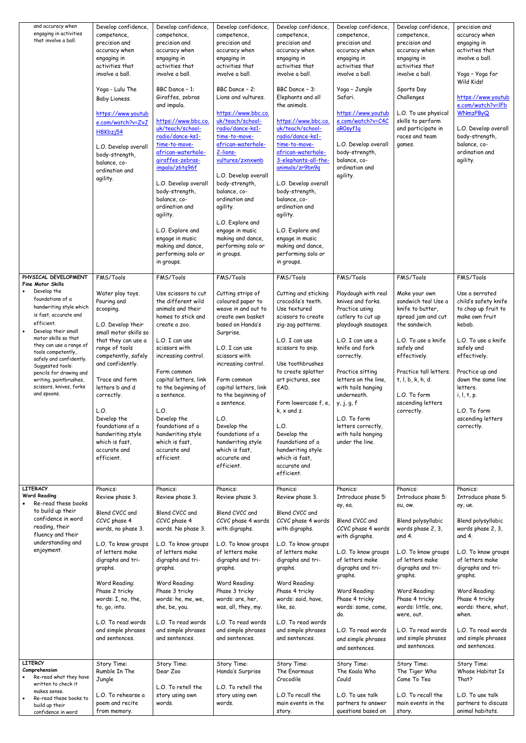| and accuracy when<br>engaging in activities<br>that involve a ball.                                                                                                                                                                                                                                                                                                  | Develop confidence,<br>competence,<br>precision and<br>accuracy when<br>engaging in<br>activities that<br>involve a ball.<br>Yoga - Lulu The<br>Baby Lioness.<br>https://www.youtub<br>e.com/watch?v=ZvJ<br>H8Kbzj54<br>L.O. Develop overall<br>body-strength,<br>balance, co-<br>ordination and<br>agility.                                       | Develop confidence,<br>competence,<br>precision and<br>accuracy when<br>engaging in<br>activities that<br>involve a ball.<br>BBC Dance - 1:<br>Giraffes, zebras<br>and impala.<br>https://www.bbc.co.<br>uk/teach/school-<br>radio/dance-ks1-<br>time-to-move-<br>african-waterhole-<br>giraffes-zebras-<br>impala/z6tq96f<br>L.O. Develop overall<br>body-strength,<br>balance, co-<br>ordination and<br>agility.<br>L.O. Explore and<br>engage in music<br>making and dance,<br>performing solo or<br>in groups. | Develop confidence,<br>competence,<br>precision and<br>accuracy when<br>engaging in<br>activities that<br>involve a ball.<br>BBC Dance - 2:<br>Lions and vultures.<br>https://www.bbc.co.<br>uk/teach/school-<br>radio/dance-ks1-<br>time-to-move-<br>african-waterhole-<br>2-lions-<br>vultures/zxnxwnb<br>L.O. Develop overall<br>body-strength,<br>balance, co-<br>ordination and<br>agility.<br>L.O. Explore and<br>engage in music<br>making and dance,<br>performing solo or<br>in groups. | Develop confidence,<br>competence,<br>precision and<br>accuracy when<br>engaging in<br>activities that<br>involve a ball.<br>BBC Dance - 3:<br>Elephants and all<br>the animals.<br>https://www.bbc.co.<br>uk/teach/school-<br>radio/dance-ks1-<br>time-to-move-<br>african-waterhole-<br>3-elephants-all-the-<br>animals/zr9bn9q<br>L.O. Develop overall<br>body-strength,<br>balance, co-<br>ordination and<br>agility.<br>L.O. Explore and<br>engage in music<br>making and dance,<br>performing solo or<br>in groups. | Develop confidence,<br>competence,<br>precision and<br>accuracy when<br>engaging in<br>activities that<br>involve a ball.<br>Yoga - Jungle<br>Safari.<br>https://www.youtub<br>e.com/watch?v=C4C<br>aROsyf1q<br>L.O. Develop overall<br>body-strength,<br>balance, co-<br>ordination and<br>agility.                                     | Develop confidence,<br>competence,<br>precision and<br>accuracy when<br>engaging in<br>activities that<br>involve a ball.<br>Sports Day<br>Challenges<br>L.O. To use physical<br>skills to perform<br>and participate in<br>races and team<br>games.   | precision and<br>accuracy when<br>engaging in<br>activities that<br>involve a ball.<br>Yoga - Yoga for<br>Wild Kids!<br>https://www.youtub<br>e.com/watch?v=IFb<br><b>WNmzPByQ</b><br>L.O. Develop overall<br>body-strength,<br>balance, co-<br>ordination and<br>agility. |
|----------------------------------------------------------------------------------------------------------------------------------------------------------------------------------------------------------------------------------------------------------------------------------------------------------------------------------------------------------------------|----------------------------------------------------------------------------------------------------------------------------------------------------------------------------------------------------------------------------------------------------------------------------------------------------------------------------------------------------|--------------------------------------------------------------------------------------------------------------------------------------------------------------------------------------------------------------------------------------------------------------------------------------------------------------------------------------------------------------------------------------------------------------------------------------------------------------------------------------------------------------------|--------------------------------------------------------------------------------------------------------------------------------------------------------------------------------------------------------------------------------------------------------------------------------------------------------------------------------------------------------------------------------------------------------------------------------------------------------------------------------------------------|---------------------------------------------------------------------------------------------------------------------------------------------------------------------------------------------------------------------------------------------------------------------------------------------------------------------------------------------------------------------------------------------------------------------------------------------------------------------------------------------------------------------------|------------------------------------------------------------------------------------------------------------------------------------------------------------------------------------------------------------------------------------------------------------------------------------------------------------------------------------------|--------------------------------------------------------------------------------------------------------------------------------------------------------------------------------------------------------------------------------------------------------|----------------------------------------------------------------------------------------------------------------------------------------------------------------------------------------------------------------------------------------------------------------------------|
| PHYSICAL DEVELOPMENT                                                                                                                                                                                                                                                                                                                                                 | FMS/Tools                                                                                                                                                                                                                                                                                                                                          | FMS/Tools                                                                                                                                                                                                                                                                                                                                                                                                                                                                                                          | FMS/Tools                                                                                                                                                                                                                                                                                                                                                                                                                                                                                        | FMS/Tools                                                                                                                                                                                                                                                                                                                                                                                                                                                                                                                 | FMS/Tools                                                                                                                                                                                                                                                                                                                                | FMS/Tools                                                                                                                                                                                                                                              | FMS/Tools                                                                                                                                                                                                                                                                  |
| Fine Motor Skills<br>Develop the<br>foundations of a<br>handwriting style which<br>is fast, accurate and<br>efficient.<br>Develop their small<br>motor skills so that<br>they can use a range of<br>tools competently,<br>safely and confidently.<br>Suggested tools:<br>pencils for drawing and<br>writing, paintbrushes,<br>scissors, knives, forks<br>and spoons. | Water play toys.<br>Pouring and<br>scooping.<br>L.O. Develop their<br>small motor skills so<br>that they can use a<br>range of tools<br>competently, safely<br>and confidently.<br>Trace and form<br>letters b and d<br>correctly.<br>L.O.<br>Develop the<br>foundations of a<br>handwriting style<br>which is fast,<br>accurate and<br>efficient. | Use scissors to cut<br>the different wild<br>animals and their<br>homes to stick and<br>create a zoo.<br>L.O. I can use<br>scissors with<br>increasing control.<br>Form common<br>capital letters, link<br>to the beginning of<br>a sentence.<br>L.O.<br>Develop the<br>foundations of a<br>handwriting style<br>which is fast,<br>accurate and<br>efficient.                                                                                                                                                      | Cutting strips of<br>coloured paper to<br>weave in and out to<br>create own basket<br>based on Handa's<br>Surprise.<br>L.O. I can use<br>scissors with<br>increasing control.<br>Form common<br>capital letters, link<br>to the beginning of<br>a sentence.<br>L.O.<br>Develop the<br>foundations of a<br>handwriting style<br>which is fast,<br>accurate and<br>efficient.                                                                                                                      | Cutting and sticking<br>crocodile's teeth.<br>Use textured<br>scissors to create<br>zig-zag patterns.<br>L.O. I can use<br>scissors to snip.<br>Use toothbrushes<br>to create splatter<br>art pictures, see<br>EAD.<br>Form lowercase f, e,<br>$k$ , $x$ and $z$ .<br>L.O.<br>Develop the<br>foundations of a<br>handwriting style<br>which is fast,<br>accurate and<br>efficient.                                                                                                                                        | Playdough with real<br>knives and forks.<br>Practice using<br>cutlery to cut up<br>playdough sausages.<br>L.O. I can use a<br>knife and fork<br>correctly.<br>Practice sitting<br>letters on the line,<br>with tails hanging<br>underneath.<br>y, j, g, f<br>L.O. To form<br>letters correctly,<br>with tails hanging<br>under the line. | Make your own<br>sandwich tea! Use a<br>knife to butter,<br>spread jam and cut<br>the sandwich.<br>L.O. To use a knife<br>safely and<br>effectively.<br>Practice tall letters.<br>t, I, b, k, h, d.<br>L.O. To form<br>ascending letters<br>correctly. | Use a serrated<br>child's safety knife<br>to chop up fruit to<br>make own fruit<br>kebab.<br>L.O. To use a knife<br>safely and<br>effectively.<br>Practice up and<br>down the same line<br>letters.<br>i, l, t, p.<br>L.O. To form<br>ascending letters<br>correctly.      |
| <b>LITERACY</b>                                                                                                                                                                                                                                                                                                                                                      | Phonics:                                                                                                                                                                                                                                                                                                                                           | Phonics:                                                                                                                                                                                                                                                                                                                                                                                                                                                                                                           | Phonics:                                                                                                                                                                                                                                                                                                                                                                                                                                                                                         | Phonics:                                                                                                                                                                                                                                                                                                                                                                                                                                                                                                                  | Phonics:                                                                                                                                                                                                                                                                                                                                 | Phonics:                                                                                                                                                                                                                                               | Phonics:                                                                                                                                                                                                                                                                   |
| <b>Word Reading</b><br>Re-read these books                                                                                                                                                                                                                                                                                                                           | Review phase 3.                                                                                                                                                                                                                                                                                                                                    | Review phase 3.                                                                                                                                                                                                                                                                                                                                                                                                                                                                                                    | Review phase 3.                                                                                                                                                                                                                                                                                                                                                                                                                                                                                  | Review phase 3.                                                                                                                                                                                                                                                                                                                                                                                                                                                                                                           | Introduce phase 5:<br>ay, ea.                                                                                                                                                                                                                                                                                                            | Introduce phase 5:<br>ou, ow.                                                                                                                                                                                                                          | Introduce phase 5:<br>oy, ue.                                                                                                                                                                                                                                              |
| to build up their<br>confidence in word<br>reading, their<br>fluency and their<br>understanding and<br>enjoyment.                                                                                                                                                                                                                                                    | Blend CVCC and<br>CCVC phase 4<br>words, no phase 3.<br>L.O. To know groups<br>of letters make<br>digraphs and tri-<br>graphs.                                                                                                                                                                                                                     | Blend CVCC and<br>CCVC phase 4<br>words. No phase 3.<br>L.O. To know groups<br>of letters make<br>digraphs and tri-<br>graphs.                                                                                                                                                                                                                                                                                                                                                                                     | Blend CVCC and<br>CCVC phase 4 words<br>with digraphs.<br>L.O. To know groups<br>of letters make<br>digraphs and tri-<br>graphs.                                                                                                                                                                                                                                                                                                                                                                 | Blend CVCC and<br>CCVC phase 4 words<br>with digraphs.<br>L.O. To know groups<br>of letters make<br>digraphs and tri-<br>graphs.                                                                                                                                                                                                                                                                                                                                                                                          | Blend CVCC and<br>CCVC phase 4 words<br>with digraphs.<br>L.O. To know groups<br>of letters make<br>digraphs and tri-<br>graphs.                                                                                                                                                                                                         | Blend polysyllabic<br>words phase 2, 3,<br>and 4.<br>L.O. To know groups<br>of letters make<br>digraphs and tri-<br>graphs.                                                                                                                            | Blend polysyllabic<br>words phase 2, 3,<br>and 4.<br>L.O. To know groups<br>of letters make<br>digraphs and tri-<br>graphs.                                                                                                                                                |
|                                                                                                                                                                                                                                                                                                                                                                      | Word Reading:<br>Phase 2 tricky<br>words: I, no, the,<br>to, go, into.                                                                                                                                                                                                                                                                             | Word Reading:<br>Phase 3 tricky<br>words: he, me, we,<br>she, be, you.                                                                                                                                                                                                                                                                                                                                                                                                                                             | Word Reading:<br>Phase 3 tricky<br>words: are, her,<br>was, all, they, my.                                                                                                                                                                                                                                                                                                                                                                                                                       | Word Reading:<br>Phase 4 tricky<br>words: said, have,<br>like, so.                                                                                                                                                                                                                                                                                                                                                                                                                                                        | Word Reading:<br>Phase 4 tricky<br>words: some, come,<br>do.                                                                                                                                                                                                                                                                             | Word Reading:<br>Phase 4 tricky<br>words: little, one,<br>were, out.                                                                                                                                                                                   | Word Reading:<br>Phase 4 tricky<br>words: there, what,<br>when.                                                                                                                                                                                                            |
|                                                                                                                                                                                                                                                                                                                                                                      | L.O. To read words<br>and simple phrases<br>and sentences.                                                                                                                                                                                                                                                                                         | L.O. To read words<br>and simple phrases<br>and sentences.                                                                                                                                                                                                                                                                                                                                                                                                                                                         | L.O. To read words<br>and simple phrases<br>and sentences.                                                                                                                                                                                                                                                                                                                                                                                                                                       | L.O. To read words<br>and simple phrases<br>and sentences.                                                                                                                                                                                                                                                                                                                                                                                                                                                                | L.O. To read words<br>and simple phrases<br>and sentences.                                                                                                                                                                                                                                                                               | L.O. To read words<br>and simple phrases<br>and sentences.                                                                                                                                                                                             | L.O. To read words<br>and simple phrases<br>and sentences.                                                                                                                                                                                                                 |
| <b>LITERCY</b>                                                                                                                                                                                                                                                                                                                                                       | Story Time:                                                                                                                                                                                                                                                                                                                                        | Story Time:                                                                                                                                                                                                                                                                                                                                                                                                                                                                                                        | Story Time:                                                                                                                                                                                                                                                                                                                                                                                                                                                                                      | Story Time:                                                                                                                                                                                                                                                                                                                                                                                                                                                                                                               | Story Time:                                                                                                                                                                                                                                                                                                                              | Story Time:                                                                                                                                                                                                                                            | Story Time:                                                                                                                                                                                                                                                                |
| Comprehension<br>Re-read what they have<br>written to check it<br>makes sense.                                                                                                                                                                                                                                                                                       | Rumble In The<br>Jungle                                                                                                                                                                                                                                                                                                                            | Dear Zoo<br>L.O. To retell the                                                                                                                                                                                                                                                                                                                                                                                                                                                                                     | Handa's Surprise<br>L.O. To retell the                                                                                                                                                                                                                                                                                                                                                                                                                                                           | The Enormous<br>Crocodile                                                                                                                                                                                                                                                                                                                                                                                                                                                                                                 | The Koala Who<br>Could                                                                                                                                                                                                                                                                                                                   | The Tiger Who<br>Came To Tea                                                                                                                                                                                                                           | Whose Habitat Is<br>That?                                                                                                                                                                                                                                                  |
| Re-read these books to<br>build up their<br>confidence in word                                                                                                                                                                                                                                                                                                       | L.O. To rehearse a<br>poem and recite<br>from memory.                                                                                                                                                                                                                                                                                              | story using own<br>words.                                                                                                                                                                                                                                                                                                                                                                                                                                                                                          | story using own<br>words.                                                                                                                                                                                                                                                                                                                                                                                                                                                                        | L.O.To recall the<br>main events in the<br>story.                                                                                                                                                                                                                                                                                                                                                                                                                                                                         | L.O. To use talk<br>partners to answer<br>questions based on                                                                                                                                                                                                                                                                             | L.O. To recall the<br>main events in the<br>story.                                                                                                                                                                                                     | L.O. To use talk<br>partners to discuss<br>animal habitats.                                                                                                                                                                                                                |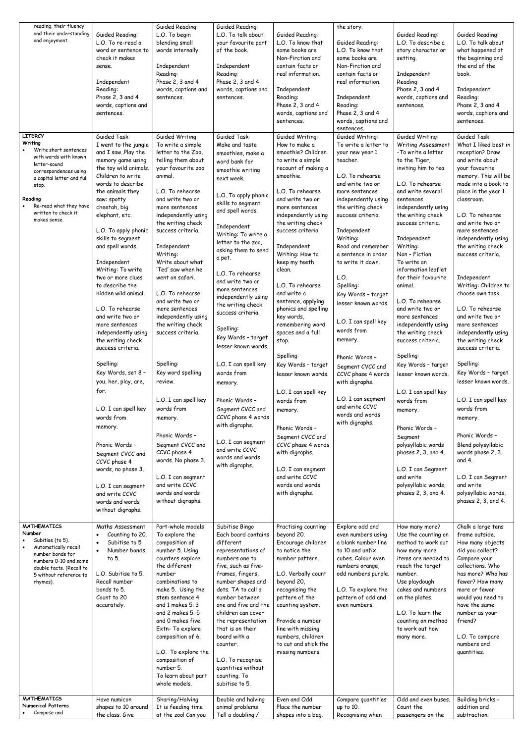| reading, their fluency<br>and their understanding<br>and enjoyment.                                                                                                                                                                    | Guided Reading:<br>L.O. To re-read a<br>word or sentence to<br>check it makes<br>sense.<br>Independent<br>Reading:<br>Phase 2, 3 and 4<br>words, captions and<br>sentences.                                                                                                                                                                                                                                                                                                                                                                                                                                                                                 | Guided Reading:<br>L.O. To begin<br>blending small<br>words internally.<br>Independent<br>Reading:<br>Phase 2, 3 and 4<br>words, captions and<br>sentences.                                                                                                                                                                                                                                                                                                                                                                                                                                                        | Guided Reading:<br>L.O. To talk about<br>your favourite part<br>of the book.<br>Independent<br>Reading:<br>Phase 2, 3 and 4<br>words, captions and<br>sentences.                                                                                                                                                                                                                                                                                                                                                                                                                                                                 | Guided Reading:<br>L.O. To know that<br>some books are<br>Non-Firction and<br>contain facts or<br>real information.<br>Independent<br>Reading:<br>Phase 2, 3 and 4<br>words, captions and<br>sentences.                                                                                                                                                                                                                                                                                                                                                                                                                                           | the story.<br>Guided Reading:<br>L.O. To know that<br>some books are<br>Non-Firction and<br>contain facts or<br>real information.<br>Independent<br>Reading:<br>Phase 2, 3 and 4<br>words, captions and                                                                                                                                                                                                                                                                                                                                                                     | Guided Reading:<br>L.O. To describe a<br>story character or<br>setting.<br>Independent<br>Reading:<br>Phase 2, 3 and 4<br>words, captions and<br>sentences.                                                                                                                                                                                                                                                                                                                                                                                                                                                                                                            | Guided Reading:<br>L.O. To talk about<br>what happened at<br>the beginning and<br>the end of the<br>book.<br>Independent<br>Reading:<br>Phase 2, 3 and 4<br>words, captions and<br>sentences.                                                                                                                                                                                                                                                                                                                                                                                                                                                                             |
|----------------------------------------------------------------------------------------------------------------------------------------------------------------------------------------------------------------------------------------|-------------------------------------------------------------------------------------------------------------------------------------------------------------------------------------------------------------------------------------------------------------------------------------------------------------------------------------------------------------------------------------------------------------------------------------------------------------------------------------------------------------------------------------------------------------------------------------------------------------------------------------------------------------|--------------------------------------------------------------------------------------------------------------------------------------------------------------------------------------------------------------------------------------------------------------------------------------------------------------------------------------------------------------------------------------------------------------------------------------------------------------------------------------------------------------------------------------------------------------------------------------------------------------------|----------------------------------------------------------------------------------------------------------------------------------------------------------------------------------------------------------------------------------------------------------------------------------------------------------------------------------------------------------------------------------------------------------------------------------------------------------------------------------------------------------------------------------------------------------------------------------------------------------------------------------|---------------------------------------------------------------------------------------------------------------------------------------------------------------------------------------------------------------------------------------------------------------------------------------------------------------------------------------------------------------------------------------------------------------------------------------------------------------------------------------------------------------------------------------------------------------------------------------------------------------------------------------------------|-----------------------------------------------------------------------------------------------------------------------------------------------------------------------------------------------------------------------------------------------------------------------------------------------------------------------------------------------------------------------------------------------------------------------------------------------------------------------------------------------------------------------------------------------------------------------------|------------------------------------------------------------------------------------------------------------------------------------------------------------------------------------------------------------------------------------------------------------------------------------------------------------------------------------------------------------------------------------------------------------------------------------------------------------------------------------------------------------------------------------------------------------------------------------------------------------------------------------------------------------------------|---------------------------------------------------------------------------------------------------------------------------------------------------------------------------------------------------------------------------------------------------------------------------------------------------------------------------------------------------------------------------------------------------------------------------------------------------------------------------------------------------------------------------------------------------------------------------------------------------------------------------------------------------------------------------|
|                                                                                                                                                                                                                                        |                                                                                                                                                                                                                                                                                                                                                                                                                                                                                                                                                                                                                                                             |                                                                                                                                                                                                                                                                                                                                                                                                                                                                                                                                                                                                                    |                                                                                                                                                                                                                                                                                                                                                                                                                                                                                                                                                                                                                                  |                                                                                                                                                                                                                                                                                                                                                                                                                                                                                                                                                                                                                                                   | sentences.                                                                                                                                                                                                                                                                                                                                                                                                                                                                                                                                                                  |                                                                                                                                                                                                                                                                                                                                                                                                                                                                                                                                                                                                                                                                        |                                                                                                                                                                                                                                                                                                                                                                                                                                                                                                                                                                                                                                                                           |
| <b>LITERCY</b><br>Writing<br>Write short sentences<br>with words with known<br>letter-sound<br>correspondences using<br>a capital letter and full<br>stop.<br>Reading<br>Re-read what they have<br>written to check it<br>makes sense. | Guided Task:<br>I went to the jungle<br>and I sawPlay the<br>memory game using<br>the toy wild animals.<br>Children to write<br>words to describe<br>the animals they<br>saw: spotty<br>cheetah, big<br>elephant, etc.<br>L.O. To apply phonic<br>skills to segment<br>and spell words.<br>Independent<br>Writing: To write<br>two or more clues<br>to describe the<br>hidden wild animal.<br>L.O. To rehearse<br>and write two or<br>more sentences<br>independently using<br>the writing check<br>success criteria.<br>Spelling:<br>Key Words, set 8 -<br>you, her, play, are,<br>for.<br>L.O. I can spell key<br>words from<br>memory.<br>Phonic Words - | Guided Writing:<br>To write a simple<br>letter to the Zoo,<br>telling them about<br>your favourite zoo<br>animal.<br>L.O. To rehearse<br>and write two or<br>more sentences<br>independently using<br>the writing check<br>success criteria.<br>Independent<br>Writing:<br>Write about what<br>'Ted' saw when he<br>went on safari.<br>L.O. To rehearse<br>and write two or<br>more sentences<br>independently using<br>the writing check<br>success criteria.<br>Spelling:<br>Key word spelling<br>review.<br>L.O. I can spell key<br>words from<br>memory.<br>Phonic Words -<br>Segment CVCC and<br>CCVC phase 4 | Guided Task:<br>Make and taste<br>smoothies, make a<br>word bank for<br>smoothie writing<br>next week.<br>L.O. To apply phonic<br>skills to segment<br>and spell words.<br>Independent<br>Writing: To write a<br>letter to the zoo,<br>asking them to send<br>a pet.<br>L.O. To rehearse<br>and write two or<br>more sentences<br>independently using<br>the writing check<br>success criteria.<br>Spelling:<br>Key Words - target<br>lesser known words.<br>L.O. I can spell key<br>words from<br>memory.<br>Phonic Words -<br>Segment CVCC and<br>CCVC phase 4 words<br>with digraphs.<br>L.O. I can segment<br>and write CCVC | Guided Writing:<br>How to make a<br>smoothie? Children<br>to write a simple<br>recount of making a<br>smoothie.<br>L.O. To rehearse<br>and write two or<br>more sentences<br>independently using<br>the writing check<br>success criteria.<br>Independent<br>Writing: How to<br>keep my teeth<br>clean.<br>L.O. To rehearse<br>and write a<br>sentence, applying<br>phonics and spelling<br>key words,<br>remembering word<br>spaces and a full<br>stop.<br>Spelling:<br>Key Words - target<br>lesser known words.<br>L.O. I can spell key<br>words from<br>memory.<br>Phonic Words -<br>Segment CVCC and<br>CCVC phase 4 words<br>with digraphs. | Guided Writing:<br>To write a letter to<br>your new year 1<br>teacher.<br>L.O. To rehearse<br>and write two or<br>more sentences<br>independently using<br>the writing check<br>success criteria.<br>Independent<br>Writing:<br>Read and remember<br>a sentence in order<br>to write it down.<br>L.O.<br>Spelling:<br>Key Words - target<br>lesser known words.<br>L.O. I can spell key<br>words from<br>memory.<br>Phonic Words -<br>Segment CVCC and<br>CCVC phase 4 words<br>with digraphs.<br>L.O. I can segment<br>and write CCVC<br>words and words<br>with digraphs. | Guided Writing:<br><b>Writing Assessment</b><br>-To write a letter<br>to the Tiger,<br>inviting him to tea.<br>L.O. To rehearse<br>and write several<br>sentences<br>independently using<br>the writing check<br>success criteria.<br>Independent<br>Writing:<br>Non - Fiction<br>To write an<br>information leaflet<br>for their favourite<br>animal.<br>L.O. To rehearse<br>and write two or<br>more sentences<br>independently using<br>the writing check<br>success criteria.<br>Spelling:<br>Key Words - target<br>lesser known words.<br>L.O. I can spell key<br>words from<br>memory.<br>Phonic Words -<br>Segment<br>polysyllabic words<br>phases 2, 3, and 4. | Guided Task:<br>What I liked best in<br>reception? Draw<br>and write about<br>your favourite<br>memory. This will be<br>made into a book to<br>place in the year 1<br>classroom.<br>L.O. To rehearse<br>and write two or<br>more sentences<br>independently using<br>the writing check<br>success criteria.<br>Independent<br>Writing: Children to<br>choose own task.<br>L.O. To rehearse<br>and write two or<br>more sentences<br>independently using<br>the writing check<br>success criteria.<br>Spelling:<br>Key Words - target<br>lesser known words.<br>L.O. I can spell key<br>words from<br>memory.<br>Phonic Words -<br>Blend polysyllabic<br>words phase 2, 3, |
| <b>MATHEMATICS</b><br>Number<br>Subitise (to 5).                                                                                                                                                                                       | Segment CVCC and<br>CCVC phase 4<br>words, no phase 3.<br>L.O. I can segment<br>and write CCVC<br>words and words<br>without digraphs.<br>Maths Assessment<br>Counting to 20.<br>Subitise to 5                                                                                                                                                                                                                                                                                                                                                                                                                                                              | words. No phase 3.<br>L.O. I can segment<br>and write CCVC<br>words and words<br>without digraphs.<br>Part-whole models<br>To explore the<br>composition of                                                                                                                                                                                                                                                                                                                                                                                                                                                        | words and words<br>with digraphs.<br>Subitise Bingo<br>Each board contains<br>different                                                                                                                                                                                                                                                                                                                                                                                                                                                                                                                                          | L.O. I can segment<br>and write CCVC<br>words and words<br>with digraphs.<br>Practising counting<br>beyond 20.<br>Encourage children                                                                                                                                                                                                                                                                                                                                                                                                                                                                                                              | Explore odd and<br>even numbers using<br>a blank number line                                                                                                                                                                                                                                                                                                                                                                                                                                                                                                                | L.O. I can Segment<br>and write<br>polysyllabic words,<br>phases 2, 3, and 4.<br>How many more?<br>Use the counting on<br>method to work out                                                                                                                                                                                                                                                                                                                                                                                                                                                                                                                           | and 4.<br>L.O. I can Segment<br>and write<br>polysyllabic words,<br>phases 2, 3, and 4.<br>Chalk a large tens<br>frame outside.<br>How many objects                                                                                                                                                                                                                                                                                                                                                                                                                                                                                                                       |
| Automatically recall<br>number bonds for<br>numbers 0-10 and some<br>double facts. (Recall to<br>5 without reference to<br>rhymes).                                                                                                    | Number bonds<br>to 5.<br>L.O. Subitise to 5.<br>Recall number<br>bonds to 5.<br>Count to 20<br>accurately.                                                                                                                                                                                                                                                                                                                                                                                                                                                                                                                                                  | number 5. Using<br>counters explore<br>the different<br>number<br>combinations to<br>make 5. Using the<br>stem sentence 4<br>and 1 makes 5, 3<br>and 2 makes 5.5<br>and 0 makes five.<br>Extn-To explore<br>composition of 6.<br>L.O. To explore the<br>composition of<br>number 5.<br>To learn about part<br>whole models.                                                                                                                                                                                                                                                                                        | representations of<br>numbers one to<br>five, such as five-<br>frames, fingers,<br>number shapes and<br>dots. TA to call a<br>number between<br>one and five and the<br>children can cover<br>the representation<br>that is on their<br>board with a<br>counter.<br>L.O. To recognise<br>quantities without<br>counting. To<br>subitise to 5.                                                                                                                                                                                                                                                                                    | to notice the<br>number pattern.<br>L.O. Verbally count<br>beyond 20,<br>recognising the<br>pattern of the<br>counting system.<br>Provide a number<br>line with missing<br>numbers, children<br>to cut and stick the<br>missing numbers.                                                                                                                                                                                                                                                                                                                                                                                                          | to 10 and unfix<br>cubes. Colour even<br>numbers orange,<br>odd numbers purple.<br>L.O. To explore the<br>pattern of odd and<br>even numbers.                                                                                                                                                                                                                                                                                                                                                                                                                               | how many more<br>items are needed to<br>reach the target<br>number.<br>Use playdough<br>cakes and numbers<br>on the plates.<br>L.O. To learn the<br>counting on method<br>to work out how<br>many more.                                                                                                                                                                                                                                                                                                                                                                                                                                                                | did you collect?<br>Compare your<br>collections. Who<br>has more? Who has<br>fewer? How many<br>more or fewer<br>would you need to<br>have the same<br>number as your<br>friend?<br>L.O. To compare<br>numbers and<br>quantities.                                                                                                                                                                                                                                                                                                                                                                                                                                         |
| <b>MATHEMATICS</b><br><b>Numerical Patterns</b>                                                                                                                                                                                        | Have numicon<br>shapes to 10 around                                                                                                                                                                                                                                                                                                                                                                                                                                                                                                                                                                                                                         | Sharing/Halving<br>It is feeding time                                                                                                                                                                                                                                                                                                                                                                                                                                                                                                                                                                              | Double and halving<br>animal problems                                                                                                                                                                                                                                                                                                                                                                                                                                                                                                                                                                                            | Even and Odd<br>Place the number                                                                                                                                                                                                                                                                                                                                                                                                                                                                                                                                                                                                                  | Compare quantities<br>up to 10.                                                                                                                                                                                                                                                                                                                                                                                                                                                                                                                                             | Odd and even buses.<br>Count the                                                                                                                                                                                                                                                                                                                                                                                                                                                                                                                                                                                                                                       | Building bricks -<br>addition and                                                                                                                                                                                                                                                                                                                                                                                                                                                                                                                                                                                                                                         |
| Compose and                                                                                                                                                                                                                            | the class. Give                                                                                                                                                                                                                                                                                                                                                                                                                                                                                                                                                                                                                                             | at the zoo! Can you                                                                                                                                                                                                                                                                                                                                                                                                                                                                                                                                                                                                | Tell a doubling /                                                                                                                                                                                                                                                                                                                                                                                                                                                                                                                                                                                                                | shapes into a bag.                                                                                                                                                                                                                                                                                                                                                                                                                                                                                                                                                                                                                                | Recognising when                                                                                                                                                                                                                                                                                                                                                                                                                                                                                                                                                            | passengers on the                                                                                                                                                                                                                                                                                                                                                                                                                                                                                                                                                                                                                                                      | subtraction.                                                                                                                                                                                                                                                                                                                                                                                                                                                                                                                                                                                                                                                              |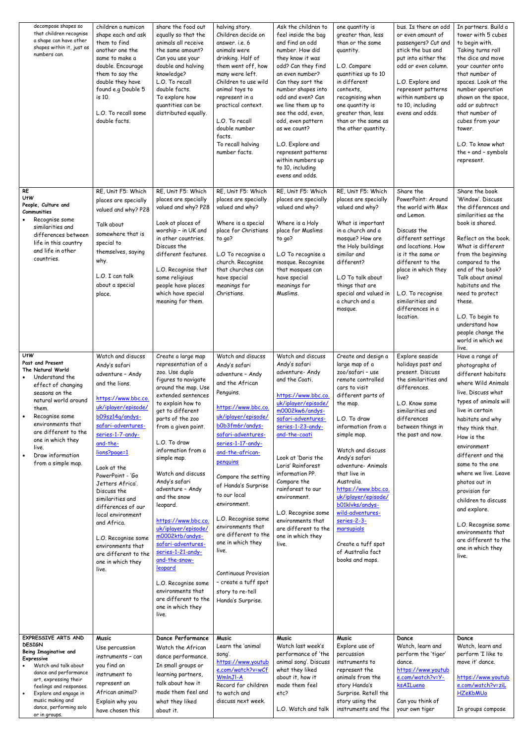| decompose shapes so<br>that children recognise<br>a shape can have other<br>shapes within it, just as<br>numbers can.                                                                                                                                                                 | children a numicon<br>shape each and ask<br>them to find<br>another one the<br>same to make a<br>double. Encourage<br>them to say the<br>double they have<br>found e.g Double 5<br>is 10.<br>L.O. To recall some<br>double facts.                                                                                                                                                                                                                                     | share the food out<br>equally so that the<br>animals all receive<br>the same amount?<br>Can you use your<br>double and halving<br>knowledge?<br>L.O. To recall<br>double facts.<br>To explore how<br>quantities can be<br>distributed equally.                                                                                                                                                                                                                                                                                                                                                           | halving story.<br>Children decide on<br>answer. i.e. 6<br>animals were<br>drinking. Half of<br>them went off, how<br>many were left.<br>Children to use wild<br>animal toys to<br>represent in a<br>practical context.<br>L.O. To recall<br>double number<br>facts.<br>To recall halving<br>number facts.                                                                                                                                                                                                          | Ask the children to<br>feel inside the bag<br>and find an odd<br>number. How did<br>they know it was<br>odd? Can they find<br>an even number?<br>Can they sort the<br>number shapes into<br>odd and even? Can<br>we line them up to<br>see the odd, even,<br>odd, even pattern<br>as we count?<br>L.O. Explore and<br>represent patterns<br>within numbers up<br>to 10, including<br>evens and odds.                     | one quantity is<br>greater than, less<br>than or the same<br>quantity.<br>L.O. Compare<br>quantities up to 10<br>in different<br>contexts,<br>recognising when<br>one quantity is<br>greater than, less<br>than or the same as<br>the other quantity.                                                                                                                                                                                                            | bus. Is there an odd<br>or even amount of<br>passengers? Cut and<br>stick the bus and<br>put into either the<br>odd or even column.<br>L.O. Explore and<br>represent patterns<br>within numbers up<br>to 10, including<br>evens and odds.                                         | In partners. Build a<br>tower with 5 cubes<br>to begin with.<br>Taking turns roll<br>the dice and move<br>your counter onto<br>that number of<br>spaces. Look at the<br>number operation<br>shown on the space,<br>add or subtract<br>that number of<br>cubes from your<br>tower.<br>L.O. To know what<br>the $+$ and $-$ symbols<br>represent.                                                                                                                 |
|---------------------------------------------------------------------------------------------------------------------------------------------------------------------------------------------------------------------------------------------------------------------------------------|-----------------------------------------------------------------------------------------------------------------------------------------------------------------------------------------------------------------------------------------------------------------------------------------------------------------------------------------------------------------------------------------------------------------------------------------------------------------------|----------------------------------------------------------------------------------------------------------------------------------------------------------------------------------------------------------------------------------------------------------------------------------------------------------------------------------------------------------------------------------------------------------------------------------------------------------------------------------------------------------------------------------------------------------------------------------------------------------|--------------------------------------------------------------------------------------------------------------------------------------------------------------------------------------------------------------------------------------------------------------------------------------------------------------------------------------------------------------------------------------------------------------------------------------------------------------------------------------------------------------------|--------------------------------------------------------------------------------------------------------------------------------------------------------------------------------------------------------------------------------------------------------------------------------------------------------------------------------------------------------------------------------------------------------------------------|------------------------------------------------------------------------------------------------------------------------------------------------------------------------------------------------------------------------------------------------------------------------------------------------------------------------------------------------------------------------------------------------------------------------------------------------------------------|-----------------------------------------------------------------------------------------------------------------------------------------------------------------------------------------------------------------------------------------------------------------------------------|-----------------------------------------------------------------------------------------------------------------------------------------------------------------------------------------------------------------------------------------------------------------------------------------------------------------------------------------------------------------------------------------------------------------------------------------------------------------|
| $RE$<br><b>UtW</b><br>People, Culture and<br>Communities<br>Recognise some<br>similarities and<br>differences between<br>life in this country<br>and life in other<br>countries.                                                                                                      | RE, Unit F5: Which<br>places are specially<br>valued and why? P28<br>Talk about<br>somewhere that is<br>special to<br>themselves, saying<br>why.<br>L.O. I can talk<br>about a special<br>place.                                                                                                                                                                                                                                                                      | RE, Unit F5: Which<br>places are specially<br>valued and why? P28<br>Look at places of<br>worship - in UK and<br>in other countries.<br>Discuss the<br>different features.<br>L.O. Recognise that<br>some religious<br>people have places<br>which have special<br>meaning for them.                                                                                                                                                                                                                                                                                                                     | RE, Unit F5: Which<br>places are specially<br>valued and why?<br>Where is a special<br>place for Christians<br>to go?<br>L.O To recognise a<br>church. Recognise<br>that churches can<br>have special<br>meanings for<br>Christians.                                                                                                                                                                                                                                                                               | RE, Unit F5: Which<br>places are specially<br>valued and why?<br>Where is a Holy<br>place for Muslims<br>to go?<br>L.O To recognise a<br>mosque. Recognise<br>that mosques can<br>have special<br>meanings for<br>Muslims.                                                                                                                                                                                               | RE, Unit F5: Which<br>places are specially<br>valued and why?<br>What is important<br>in a church and a<br>mosque? How are<br>the Holy buildings<br>similar and<br>different?<br>L.O To talk about<br>things that are<br>special and valued in<br>a church and a<br>mosque.                                                                                                                                                                                      | Share the<br>PowerPoint: Around<br>the world with Max<br>and Lemon.<br>Discuss the<br>different settings<br>and locations. How<br>is it the same or<br>different to the<br>place in which they<br>live?<br>L.O. To recognise<br>similarities and<br>differences in a<br>location. | Share the book<br>'Window'. Discuss<br>the differences and<br>similarities as the<br>book is shared.<br>Reflect on the book.<br>What is different<br>from the beginning<br>compared to the<br>end of the book?<br>Talk about animal<br>habitats and the<br>need to protect<br>these.<br>L.O. To begin to<br>understand how<br>people change the<br>world in which we<br>live.                                                                                   |
| <b>UtW</b><br>Past and Present<br>The Natural World<br>Understand the<br>effect of changing<br>seasons on the<br>natural world around<br>them.<br>Recognise some<br>environments that<br>are different to the<br>one in which they<br>live.<br>Draw information<br>from a simple map. | Watch and disucss<br>Andy's safari<br>adventure - Andy<br>and the lions.<br>https://www.bbc.co.<br>uk/iplayer/episode/<br>b09sz14q/andys-<br>safari-adventures-<br>series-1-7-andy-<br>and-the-<br>lions?page=1<br>Look at the<br>PowerPoint - 'Go<br>Jetters Africa'.<br>Discuss the<br>similarities and<br>differences of our<br>local environment<br>and Africa.<br>L.O. Recognise some<br>environments that<br>are different to the<br>one in which they<br>live. | Create a large map<br>representation of a<br>zoo. Use duplo<br>figures to navigate<br>around the map. Use<br>extended sentences<br>to explain how to<br>get to different<br>parts of the zoo<br>from a given point.<br>L.O. To draw<br>information from a<br>simple map.<br>Watch and discuss<br>Andy's safari<br>adventure - Andy<br>and the snow<br>leopard.<br>https://www.bbc.co.<br>uk/iplayer/episode/<br>m0002ktb/andys-<br>safari-adventures-<br>series-1-21-andy-<br>and-the-snow-<br>leopard<br>L.O. Recognise some<br>environments that<br>are different to the<br>one in which they<br>live. | Watch and disucss<br>Andy's safari<br>adventure - Andy<br>and the African<br>Penguins.<br>https://www.bbc.co.<br>uk/iplayer/episode/<br>b0b3fm6r/andys-<br>safari-adventures-<br>series-1-17-andy-<br>and-the-african-<br>penquins<br>Compare the setting<br>of Handa's Surprise<br>to our local<br>environment.<br>L.O. Recognise some<br>environments that<br>are different to the<br>one in which they<br>live.<br><b>Continuous Provision</b><br>- create a tuff spot<br>story to re-tell<br>Handa's Surprise. | Watch and discuss<br>Andy's safari<br>adventure- Andy<br>and the Coati.<br>https://www.bbc.co.<br>uk/iplayer/episode/<br>m0002kw6/andys-<br>safari-adventures-<br>series-1-23-andy-<br>and-the-coati<br>Look at 'Doris the<br>Loris' Rainforest<br>information PP.<br>Compare the<br>rainforest to our<br>environment.<br>L.O. Recognise some<br>environments that<br>are different to the<br>one in which they<br>live. | Create and design a<br>large map of a<br>zoo/safari - use<br>remote controlled<br>cars to visit<br>different parts of<br>the map.<br>L.O. To draw<br>information from a<br>simple map.<br>Watch and discuss<br>Andy's safari<br>adventure- Animals<br>that live in<br>Australia.<br>https://www.bbc.co.<br>uk/iplayer/episode/<br>b01klvks/andys-<br>wild-adventures-<br>series-2-3-<br>marsupials<br>Create a tuff spot<br>of Australia fact<br>books and maps. | Explore seaside<br>holidays past and<br>present. Discuss<br>the similarities and<br>differences.<br>L.O. Know some<br>similarities and<br>differences<br>between things in<br>the past and now.                                                                                   | Have a range of<br>photographs of<br>different habitats<br>where Wild Animals<br>live. Discuss what<br>types of animals will<br>live in certain<br>habitats and why<br>they think that.<br>How is the<br>environment<br>different and the<br>same to the one<br>where we live. Leave<br>photos out in<br>provision for<br>children to discuss<br>and explore.<br>L.O. Recognise some<br>environments that<br>are different to the<br>one in which they<br>live. |
| EXPRESSIVE ARTS AND<br><b>DESIGN</b><br>Being Imaginative and<br>Expressive<br>Watch and talk about<br>dance and performance<br>art, expressing their<br>feelings and responses.<br>Explore and engage in<br>music making and<br>dance, performing solo<br>or in groups.              | <b>Music</b><br>Use percussion<br>instruments - can<br>you find an<br>instrument to<br>represent an<br>African animal?<br>Explain why you<br>have chosen this                                                                                                                                                                                                                                                                                                         | Dance Performance<br>Watch the African<br>dance performance.<br>In small groups or<br>learning partners,<br>talk about how it<br>made them feel and<br>what they liked<br>about it.                                                                                                                                                                                                                                                                                                                                                                                                                      | <b>Music</b><br>Learn the 'animal<br>song'.<br>https://www.youtub<br>e.com/watch?v=wCf<br>WmlnJI-A<br>Record for children<br>to watch and<br>discuss next week.                                                                                                                                                                                                                                                                                                                                                    | <b>Music</b><br>Watch last week's<br>performance of 'the<br>animal song'. Discuss<br>what they liked<br>about it, how it<br>made them feel<br>etc?<br>L.O. Watch and talk                                                                                                                                                                                                                                                | <b>Music</b><br>Explore use of<br>percussion<br>instruments to<br>represent the<br>animals from the<br>story Handa's<br>Surprise. Retell the<br>story using the<br>instruments and the                                                                                                                                                                                                                                                                           | Dance<br>Watch, learn and<br>perform the 'tiger'<br>dance.<br>https://www.youtub<br>e.com/watch?v=Y-<br>ksAILueno<br>Can you think of<br>your own tiger                                                                                                                           | Dance<br>Watch, learn and<br>perform 'I like to<br>move it' dance.<br>https://www.youtub<br>e.com/watch?v=ziL<br><b>HZeKbMUo</b><br>In groups compose                                                                                                                                                                                                                                                                                                           |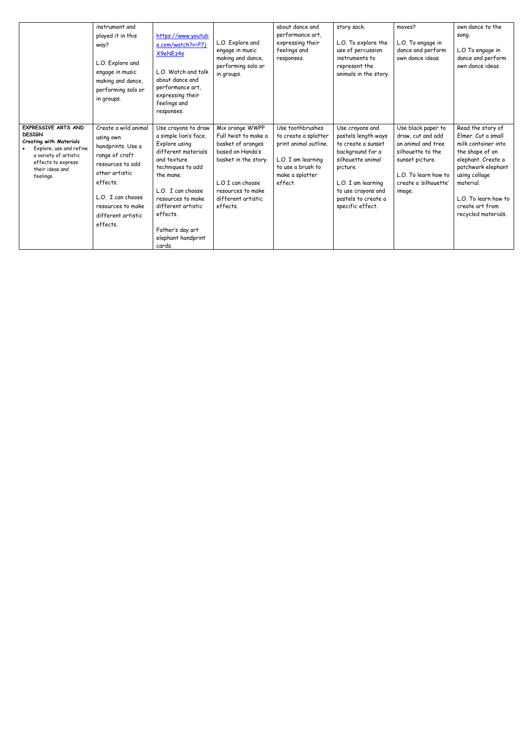|                                                                                                                                                                                  | instrument and<br>played it in this<br>way?<br>L.O. Explore and<br>engage in music<br>making and dance,<br>performing solo or<br>in groups.                                                            | https://www.youtub<br>e.com/watch?v=P7j<br>X9eNEz4s<br>L.O. Watch and talk<br>about dance and<br>performance art,<br>expressing their<br>feelings and<br>responses.                                                                                                   | L.O. Explore and<br>engage in music<br>making and dance,<br>performing solo or<br>in groups.                                                                                        | about dance and<br>performance art,<br>expressing their<br>feelings and<br>responses.                                                      | story sack.<br>L.O. To explore the<br>use of percussion<br>instruments to<br>represent the<br>animals in the story.                                                                                      | moves?<br>L.O. To engage in<br>dance and perform<br>own dance ideas.                                                                                             | own dance to the<br>song.<br>L.O To engage in<br>dance and perform<br>own dance ideas.                                                                                                                                        |
|----------------------------------------------------------------------------------------------------------------------------------------------------------------------------------|--------------------------------------------------------------------------------------------------------------------------------------------------------------------------------------------------------|-----------------------------------------------------------------------------------------------------------------------------------------------------------------------------------------------------------------------------------------------------------------------|-------------------------------------------------------------------------------------------------------------------------------------------------------------------------------------|--------------------------------------------------------------------------------------------------------------------------------------------|----------------------------------------------------------------------------------------------------------------------------------------------------------------------------------------------------------|------------------------------------------------------------------------------------------------------------------------------------------------------------------|-------------------------------------------------------------------------------------------------------------------------------------------------------------------------------------------------------------------------------|
| EXPRESSIVE ARTS AND<br><b>DESIGN</b><br><b>Creating with Materials</b><br>Explore, use and refine<br>a variety of artistic<br>effects to express<br>their ideas and<br>feelings. | Create a wild animal<br>using own<br>handprints. Use a<br>range of craft<br>resources to add<br>other artistic<br>effects.<br>L.O. I can choose<br>resources to make<br>different artistic<br>effects. | Use crayons to draw<br>a simple lion's face.<br>Explore using<br>different materials<br>and texture<br>techniques to add<br>the mane.<br>L.O. I can choose<br>resources to make<br>different artistic<br>effects.<br>Father's day art<br>elephant handprint<br>cards. | Mix orange WWPP<br>Full twist to make a<br>basket of oranges<br>based on Handa's<br>basket in the story.<br>L.O I can choose<br>resources to make<br>different artistic<br>effects. | Use toothbrushes<br>to create a splatter<br>print animal outline.<br>L.O. I am learning<br>to use a brush to<br>make a splatter<br>effect. | Use crayons and<br>pastels length ways<br>to create a sunset<br>background for a<br>silhouette animal<br>picture.<br>L.O. I am learning<br>to use crayons and<br>pastels to create a<br>specific effect. | Use black paper to<br>draw, cut and add<br>an animal and tree<br>silhouette to the<br>sunset picture.<br>L.O. To learn how to<br>create a 'silhouette'<br>image. | Read the story of<br>Elmer. Cut a small<br>milk container into<br>the shape of an<br>elephant. Create a<br>patchwork elephant<br>using collage<br>material.<br>L.O. To learn how to<br>create art from<br>recycled materials. |